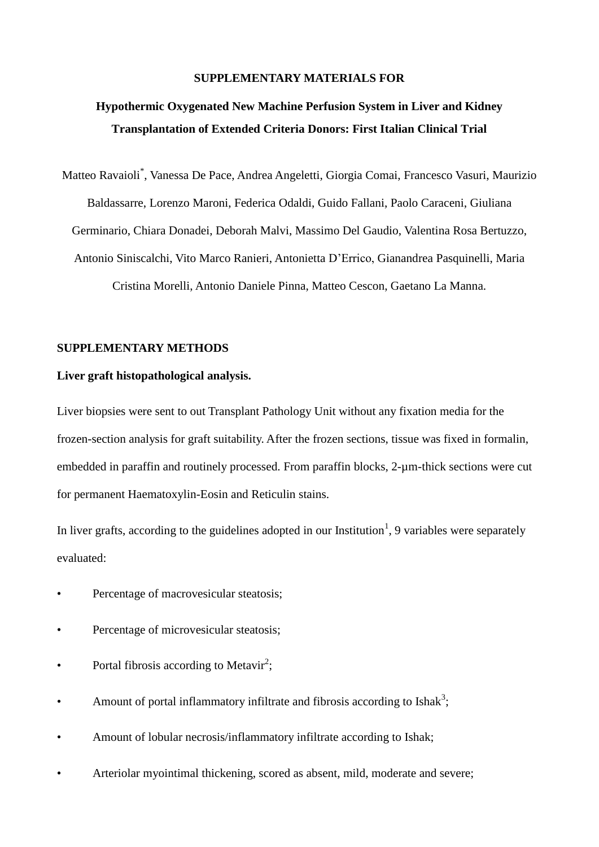#### **SUPPLEMENTARY MATERIALS FOR**

### **Hypothermic Oxygenated New Machine Perfusion System in Liver and Kidney Transplantation of Extended Criteria Donors: First Italian Clinical Trial**

Matteo Ravaioli\* , Vanessa De Pace, Andrea Angeletti, Giorgia Comai, Francesco Vasuri, Maurizio Baldassarre, Lorenzo Maroni, Federica Odaldi, Guido Fallani, Paolo Caraceni, Giuliana Germinario, Chiara Donadei, Deborah Malvi, Massimo Del Gaudio, Valentina Rosa Bertuzzo, Antonio Siniscalchi, Vito Marco Ranieri, Antonietta D'Errico, Gianandrea Pasquinelli, Maria Cristina Morelli, Antonio Daniele Pinna, Matteo Cescon, Gaetano La Manna.

#### **SUPPLEMENTARY METHODS**

#### **Liver graft histopathological analysis.**

Liver biopsies were sent to out Transplant Pathology Unit without any fixation media for the frozen-section analysis for graft suitability. After the frozen sections, tissue was fixed in formalin, embedded in paraffin and routinely processed. From paraffin blocks, 2-µm-thick sections were cut for permanent Haematoxylin-Eosin and Reticulin stains.

In liver grafts, according to the guidelines adopted in our Institution<sup>1</sup>, 9 variables were separately evaluated:

- Percentage of macrovesicular steatosis;
- Percentage of microvesicular steatosis;
- Portal fibrosis according to Metavir<sup>2</sup>;
- Amount of portal inflammatory infiltrate and fibrosis according to Ishak<sup>3</sup>;
- Amount of lobular necrosis/inflammatory infiltrate according to Ishak;
- Arteriolar myointimal thickening, scored as absent, mild, moderate and severe;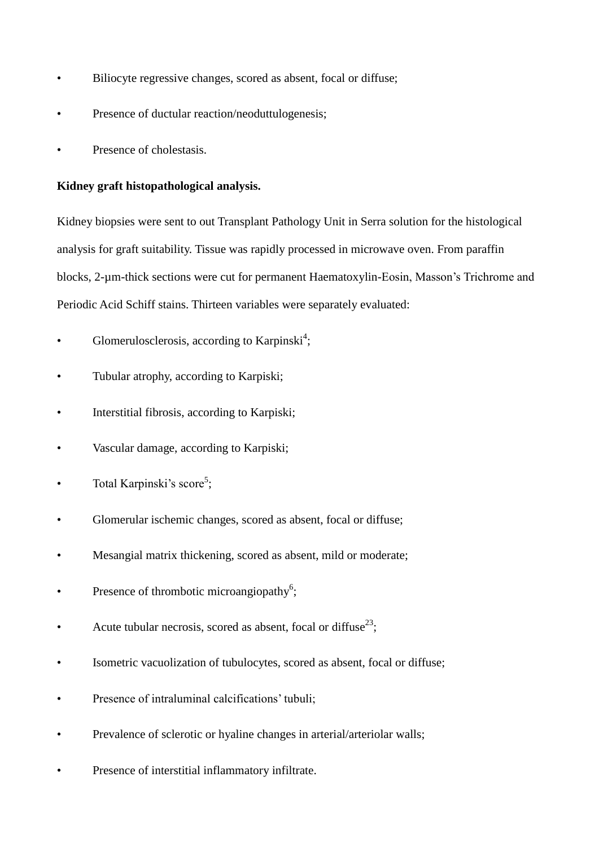- Biliocyte regressive changes, scored as absent, focal or diffuse;
- Presence of ductular reaction/neoduttulogenesis;
- Presence of cholestasis.

#### **Kidney graft histopathological analysis.**

Kidney biopsies were sent to out Transplant Pathology Unit in Serra solution for the histological analysis for graft suitability. Tissue was rapidly processed in microwave oven. From paraffin blocks, 2-µm-thick sections were cut for permanent Haematoxylin-Eosin, Masson's Trichrome and Periodic Acid Schiff stains. Thirteen variables were separately evaluated:

- Glomerulosclerosis, according to Karpinski<sup>4</sup>;
- Tubular atrophy, according to Karpiski;
- Interstitial fibrosis, according to Karpiski;
- Vascular damage, according to Karpiski;
- Total Karpinski's score<sup>5</sup>;
- Glomerular ischemic changes, scored as absent, focal or diffuse;
- Mesangial matrix thickening, scored as absent, mild or moderate;
- Presence of thrombotic microangiopathy<sup>6</sup>;
- Acute tubular necrosis, scored as absent, focal or diffuse<sup>23</sup>;
- Isometric vacuolization of tubulocytes, scored as absent, focal or diffuse;
- Presence of intraluminal calcifications' tubuli;
- Prevalence of sclerotic or hyaline changes in arterial/arteriolar walls;
- Presence of interstitial inflammatory infiltrate.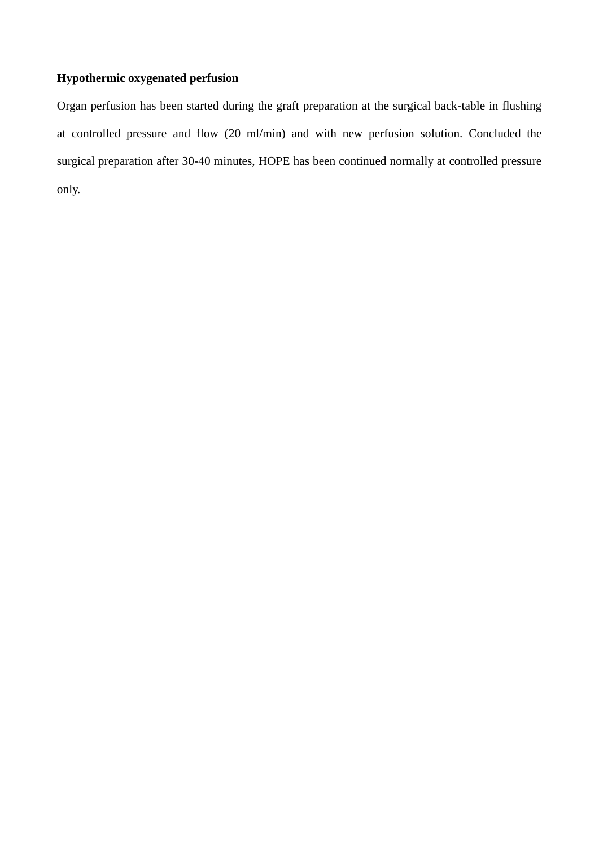#### **Hypothermic oxygenated perfusion**

Organ perfusion has been started during the graft preparation at the surgical back-table in flushing at controlled pressure and flow (20 ml/min) and with new perfusion solution. Concluded the surgical preparation after 30-40 minutes, HOPE has been continued normally at controlled pressure only.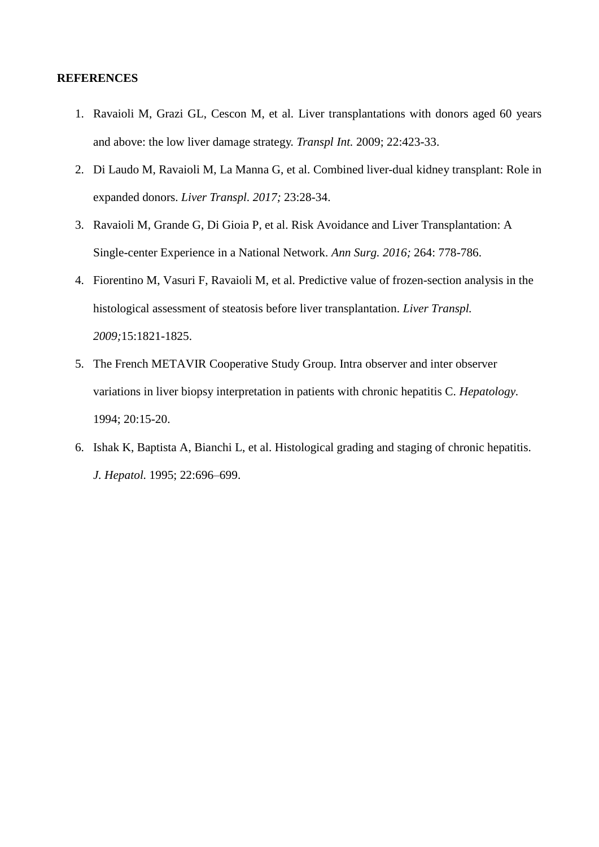#### **REFERENCES**

- 1. Ravaioli M, Grazi GL, Cescon M, et al. Liver transplantations with donors aged 60 years and above: the low liver damage strategy. *Transpl Int.* 2009; 22:423-33.
- 2. Di Laudo M, Ravaioli M, La Manna G, et al. Combined liver-dual kidney transplant: Role in expanded donors. *Liver Transpl. 2017;* 23:28-34.
- 3. Ravaioli M, Grande G, Di Gioia P, et al. Risk Avoidance and Liver Transplantation: A Single-center Experience in a National Network. *Ann Surg. 2016;* 264: 778-786.
- 4. Fiorentino M, Vasuri F, Ravaioli M, et al. Predictive value of frozen-section analysis in the histological assessment of steatosis before liver transplantation. *Liver Transpl. 2009;*15:1821-1825.
- 5. The French METAVIR Cooperative Study Group. Intra observer and inter observer variations in liver biopsy interpretation in patients with chronic hepatitis C. *Hepatology.*  1994; 20:15-20.
- 6. Ishak K, Baptista A, Bianchi L, et al. Histological grading and staging of chronic hepatitis. *J. Hepatol.* 1995; 22:696–699.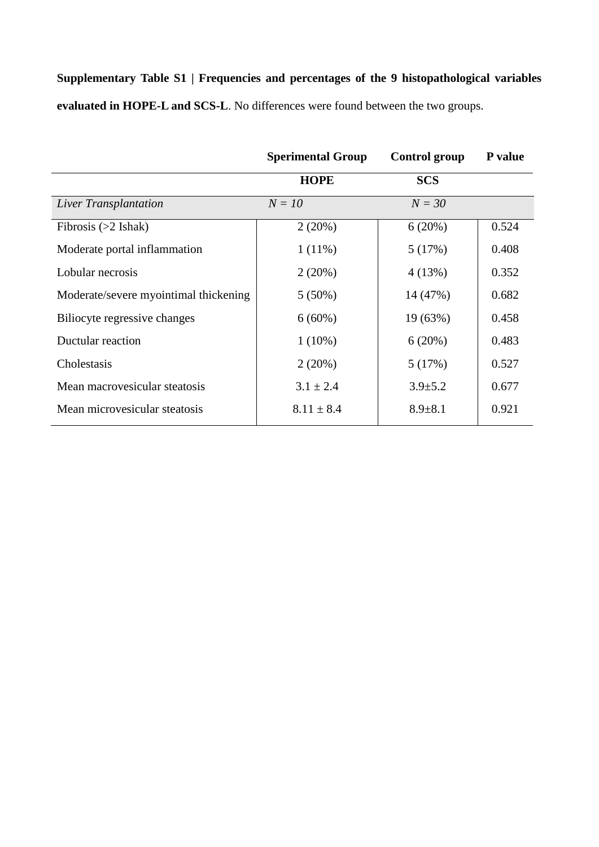**Supplementary Table S1 | Frequencies and percentages of the 9 histopathological variables evaluated in HOPE-L and SCS-L**. No differences were found between the two groups.

|                                       | <b>Sperimental Group</b> | <b>Control group</b> | P value |
|---------------------------------------|--------------------------|----------------------|---------|
|                                       | <b>HOPE</b>              | <b>SCS</b>           |         |
| Liver Transplantation                 | $N = 10$                 | $N = 30$             |         |
| Fibrosis $(>2$ Ishak)                 | 2(20%)                   | 6(20%)               | 0.524   |
| Moderate portal inflammation          | $1(11\%)$                | 5(17%)               | 0.408   |
| Lobular necrosis                      | 2(20%)                   | 4 (13%)              | 0.352   |
| Moderate/severe myointimal thickening | $5(50\%)$                | 14 (47%)             | 0.682   |
| Biliocyte regressive changes          | $6(60\%)$                | 19 (63%)             | 0.458   |
| Ductular reaction                     | $1(10\%)$                | 6(20%)               | 0.483   |
| Cholestasis                           | 2(20%)                   | 5(17%)               | 0.527   |
| Mean macrovesicular steatosis         | $3.1 \pm 2.4$            | $3.9 \pm 5.2$        | 0.677   |
| Mean microvesicular steatosis         | $8.11 \pm 8.4$           | $8.9 \pm 8.1$        | 0.921   |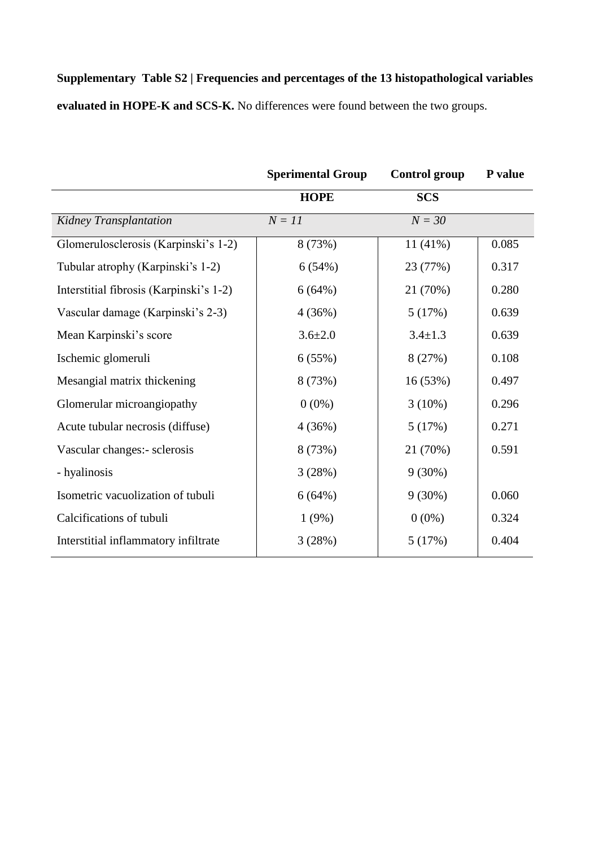# **Supplementary Table S2 | Frequencies and percentages of the 13 histopathological variables**

**evaluated in HOPE-K and SCS-K.** No differences were found between the two groups.

|                                         | <b>Sperimental Group</b> | <b>Control group</b> | P value |
|-----------------------------------------|--------------------------|----------------------|---------|
|                                         | <b>HOPE</b>              | <b>SCS</b>           |         |
| Kidney Transplantation                  | $N = 11$                 | $N = 30$             |         |
| Glomerulosclerosis (Karpinski's 1-2)    | 8 (73%)                  | $11(41\%)$           | 0.085   |
| Tubular atrophy (Karpinski's 1-2)       | 6(54%)                   | 23 (77%)             | 0.317   |
| Interstitial fibrosis (Karpinski's 1-2) | 6(64%)                   | 21 (70%)             | 0.280   |
| Vascular damage (Karpinski's 2-3)       | 4(36%)                   | 5(17%)               | 0.639   |
| Mean Karpinski's score                  | $3.6 \pm 2.0$            | $3.4 \pm 1.3$        | 0.639   |
| Ischemic glomeruli                      | 6(55%)                   | 8 (27%)              | 0.108   |
| Mesangial matrix thickening             | 8 (73%)                  | 16(53%)              | 0.497   |
| Glomerular microangiopathy              | $0(0\%)$                 | $3(10\%)$            | 0.296   |
| Acute tubular necrosis (diffuse)        | 4(36%)                   | 5(17%)               | 0.271   |
| Vascular changes:- sclerosis            | 8 (73%)                  | 21 (70%)             | 0.591   |
| - hyalinosis                            | 3(28%)                   | $9(30\%)$            |         |
| Isometric vacuolization of tubuli       | 6(64%)                   | $9(30\%)$            | 0.060   |
| Calcifications of tubuli                | 1(9%)                    | $0(0\%)$             | 0.324   |
| Interstitial inflammatory infiltrate    | 3(28%)                   | 5(17%)               | 0.404   |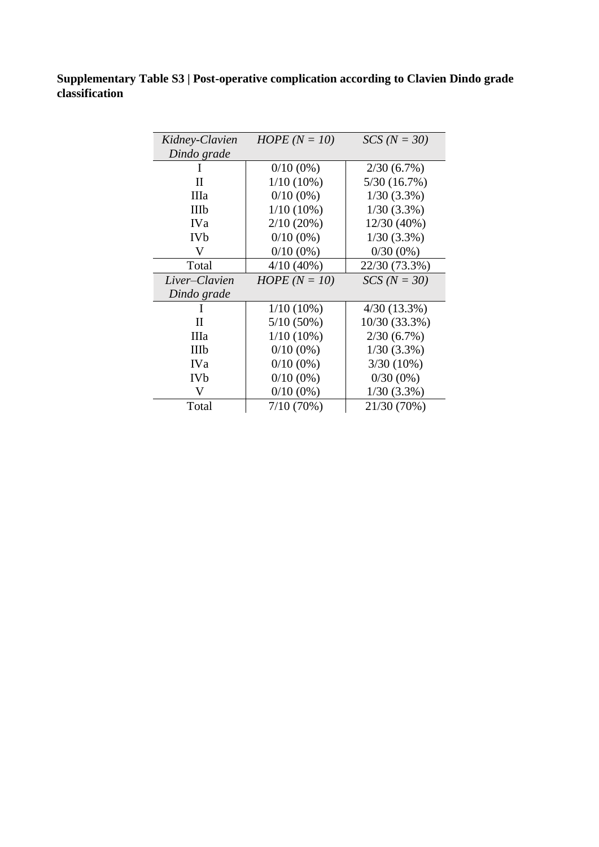**Supplementary Table S3 | Post-operative complication according to Clavien Dindo grade classification**

| Kidney-Clavien | HOPE $(N = 10)$ | $SCS (N = 30)$ |
|----------------|-----------------|----------------|
| Dindo grade    |                 |                |
| I              | $0/10(0\%)$     | $2/30(6.7\%)$  |
| $\mathbf{I}$   | $1/10(10\%)$    | 5/30(16.7%)    |
| IIIa           | $0/10(0\%)$     | $1/30(3.3\%)$  |
| IIIb           | $1/10(10\%)$    | $1/30(3.3\%)$  |
| <b>IVa</b>     | $2/10(20\%)$    | 12/30 (40%)    |
| <b>IVb</b>     | $0/10(0\%)$     | $1/30(3.3\%)$  |
| V              | $0/10(0\%)$     | $0/30(0\%)$    |
| Total          | $4/10(40\%)$    | 22/30 (73.3%)  |
| Liver-Clavien  | HOPE $(N = 10)$ | $SCS (N = 30)$ |
| Dindo grade    |                 |                |
|                | $1/10(10\%)$    | $4/30(13.3\%)$ |
| П              | $5/10(50\%)$    | 10/30 (33.3%)  |
| IIIa           | $1/10(10\%)$    | $2/30(6.7\%)$  |
| IIIb           | $0/10(0\%)$     | $1/30(3.3\%)$  |
| <b>IVa</b>     | $0/10(0\%)$     | $3/30(10\%)$   |
| <b>IVb</b>     | $0/10(0\%)$     | $0/30(0\%)$    |
| V              | $0/10(0\%)$     | $1/30(3.3\%)$  |
| Total          | $7/10(70\%)$    | 21/30 (70%)    |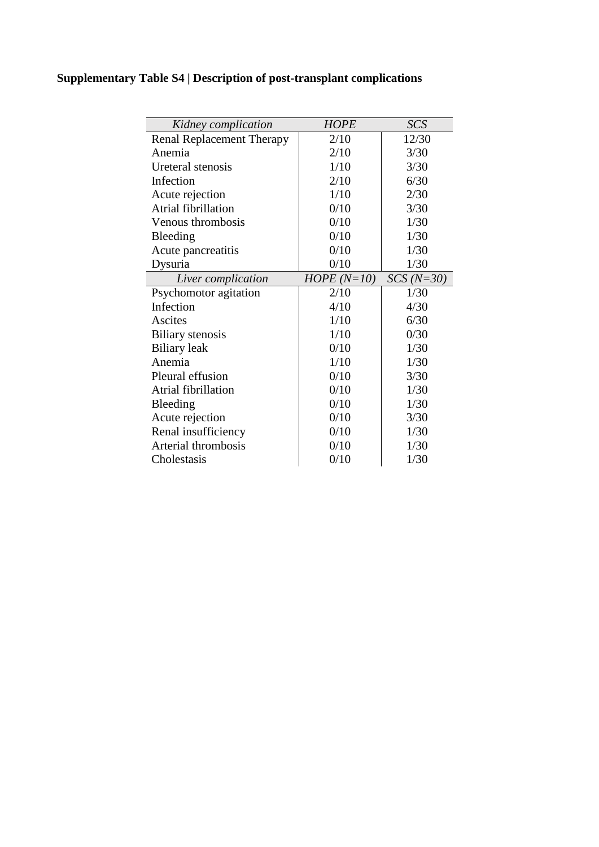### **Supplementary Table S4 | Description of post-transplant complications**

| Kidney complication              | <b>HOPE</b>  | SCS         |
|----------------------------------|--------------|-------------|
| <b>Renal Replacement Therapy</b> | 2/10         | 12/30       |
| Anemia                           | 2/10         | 3/30        |
| Ureteral stenosis                | 1/10         | 3/30        |
| Infection                        | 2/10         | 6/30        |
| Acute rejection                  | 1/10         | 2/30        |
| Atrial fibrillation              | 0/10         | 3/30        |
| Venous thrombosis                | 0/10         | 1/30        |
| Bleeding                         | 0/10         | 1/30        |
| Acute pancreatitis               | 0/10         | 1/30        |
| Dysuria                          | 0/10         | 1/30        |
| Liver complication               | $HOPE(N=10)$ | $SCS(N=30)$ |
| Psychomotor agitation            | 2/10         | 1/30        |
| Infection                        | 4/10         | 4/30        |
| Ascites                          | 1/10         | 6/30        |
| <b>Biliary</b> stenosis          | 1/10         | 0/30        |
| <b>Biliary</b> leak              | 0/10         | 1/30        |
| Anemia                           | 1/10         | 1/30        |
| Pleural effusion                 | 0/10         | 3/30        |
| Atrial fibrillation              | 0/10         | 1/30        |
| Bleeding                         | 0/10         | 1/30        |
| Acute rejection                  | 0/10         | 3/30        |
| Renal insufficiency              | 0/10         | 1/30        |
| Arterial thrombosis              | 0/10         | 1/30        |
| Cholestasis                      | 0/10         | 1/30        |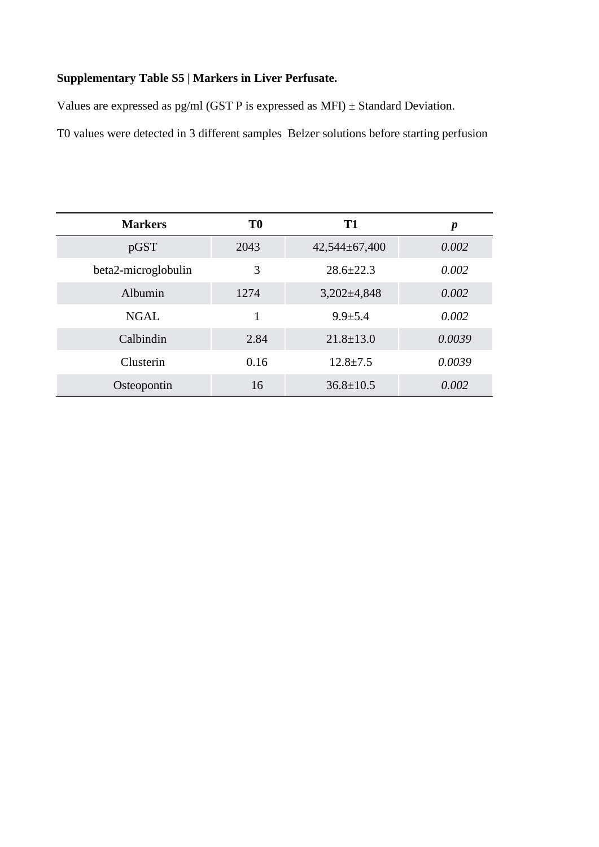### **Supplementary Table S5 | Markers in Liver Perfusate.**

Values are expressed as pg/ml (GST P is expressed as MFI)  $\pm$  Standard Deviation.

T0 values were detected in 3 different samples Belzer solutions before starting perfusion

| <b>Markers</b>      | T <sub>0</sub> | T1                | $\boldsymbol{p}$ |
|---------------------|----------------|-------------------|------------------|
| pGST                | 2043           | $42,544\pm67,400$ | 0.002            |
| beta2-microglobulin | 3              | $28.6 \pm 22.3$   | 0.002            |
| Albumin             | 1274           | $3,202\pm4,848$   | 0.002            |
| <b>NGAL</b>         | 1              | $9.9 \pm 5.4$     | 0.002            |
| Calbindin           | 2.84           | $21.8 \pm 13.0$   | 0.0039           |
| Clusterin           | 0.16           | $12.8 \pm 7.5$    | 0.0039           |
| Osteopontin         | 16             | $36.8 \pm 10.5$   | 0.002            |